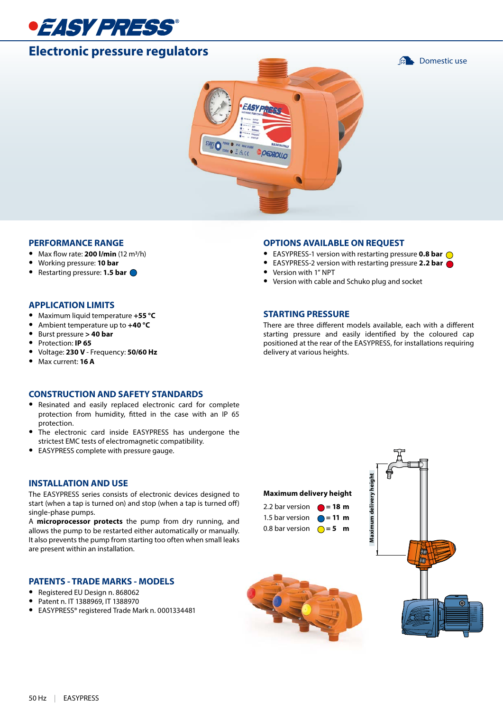

# **Electronic pressure regulators**

**Domestic use** 



#### **PERFORMANCE RANGE**

- **•** Max flow rate: **200 l/min** (12 m3/h)
- **•** Working pressure: **10 bar**
- **•** Restarting pressure: **1.5 bar**

#### **APPLICATION LIMITS**

- **•** Maximum liquid temperature **+55 °C**
- **•** Ambient temperature up to **+40 °C**
- **•** Burst pressure **> 40 bar**
- **•** Protection: **IP 65**
- **•** Voltage: **230 V**  Frequency: **50/60 Hz**
- **•** Max current: **16 A**

#### **CONSTRUCTION AND SAFETY STANDARDS**

- **•** Resinated and easily replaced electronic card for complete protection from humidity, fitted in the case with an IP 65 protection.
- **•** The electronic card inside EASYPRESS has undergone the strictest EMC tests of electromagnetic compatibility.
- **•** EASYPRESS complete with pressure gauge.

#### **INSTALLATION AND USE**

The EASYPRESS series consists of electronic devices designed to start (when a tap is turned on) and stop (when a tap is turned off) single-phase pumps.

A **microprocessor protects** the pump from dry running, and allows the pump to be restarted either automatically or manually. It also prevents the pump from starting too often when small leaks are present within an installation.

#### **PATENTS - TRADE MARKS - MODELS**

- **•** Registered EU Design n. 868062
- **•** Patent n. IT 1388969, IT 1388970
- **•** EASYPRESS® registered Trade Mark n. 0001334481

#### **OPTIONS AVAILABLE ON REQUEST**

- **•** EASYPRESS-1 version with restarting pressure **0.8 bar**
- **•** EASYPRESS-2 version with restarting pressure **2.2 bar**
- **•** Version with 1" NPT
- **•** Version with cable and Schuko plug and socket

#### **STARTING PRESSURE**

There are three different models available, each with a different starting pressure and easily identified by the coloured cap positioned at the rear of the EASYPRESS, for installations requiring delivery at various heights.

#### **Maximum delivery height**

| 2.2 bar version $\bullet$ = 18 m  |  |
|-----------------------------------|--|
| 1.5 bar version $\bigcirc$ = 11 m |  |
| 0.8 bar version $\bigcirc$ = 5 m  |  |